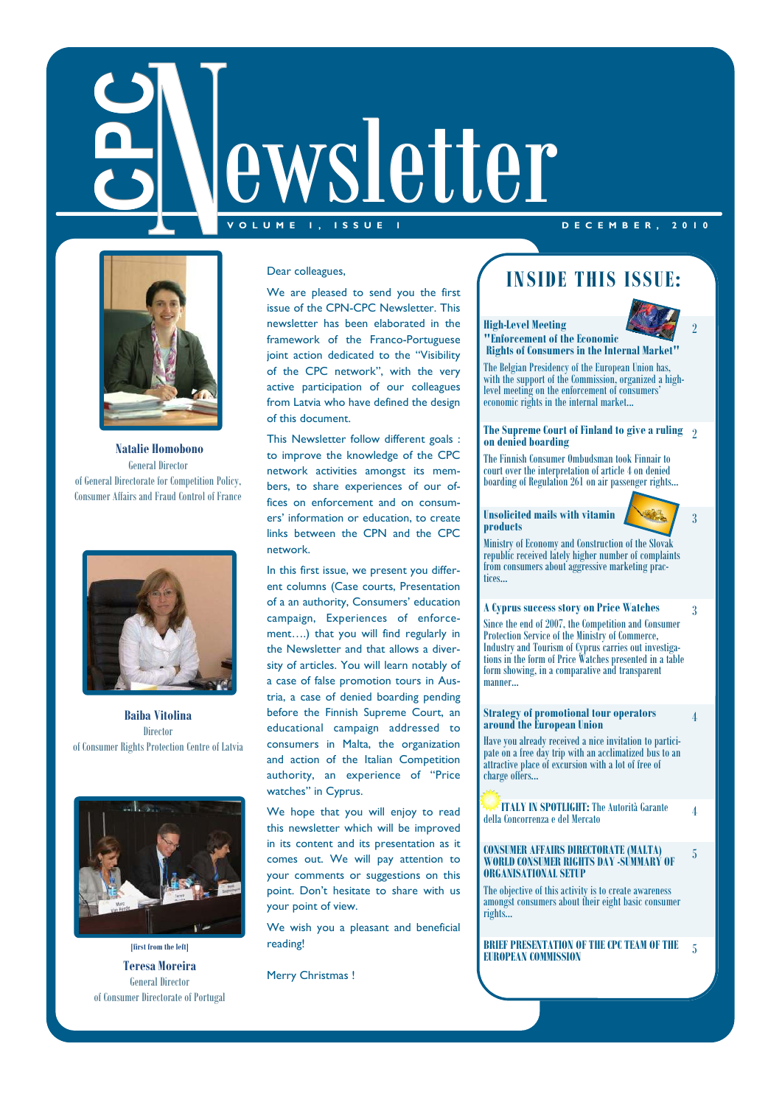# ewsletter **V O L U M E 1 , I S S U E 1 D E C E M B E R , 2 0 1 0**



 **Natalie Homobono**  General Director of General Directorate for Competition Policy,



**Baiba Vitolina Director** of Consumer Rights Protection Centre of Latvia



**[first from the left] Teresa Moreira**  General Director of Consumer Directorate of Portugal

#### Dear colleagues,

We are pleased to send you the first issue of the CPN-CPC Newsletter. This newsletter has been elaborated in the framework of the Franco-Portuguese joint action dedicated to the "Visibility of the CPC network", with the very active participation of our colleagues from Latvia who have defined the design of this document.

This Newsletter follow different goals : to improve the knowledge of the CPC network activities amongst its members, to share experiences of our offices on enforcement and on consumers' information or education, to create links between the CPN and the CPC network.

In this first issue, we present you different columns (Case courts, Presentation of a an authority, Consumers' education campaign, Experiences of enforcement….) that you will find regularly in the Newsletter and that allows a diversity of articles. You will learn notably of a case of false promotion tours in Austria, a case of denied boarding pending before the Finnish Supreme Court, an educational campaign addressed to consumers in Malta, the organization and action of the Italian Competition authority, an experience of "Price watches" in Cyprus.

We hope that you will enjoy to read this newsletter which will be improved in its content and its presentation as it comes out. We will pay attention to your comments or suggestions on this point. Don't hesitate to share with us your point of view.

We wish you a pleasant and beneficial reading!

Merry Christmas !

# **INSIDE THIS ISSUE:**



2

**High-Level Meeting "Enforcement of the Economic** 

 **Rights of Consumers in the Internal Market"**  The Belgian Presidency of the European Union has, with the support of the Commission, organized a highlevel meeting on the enforcement of consumers' economic rights in the internal market...

**The Supreme Court of Finland to give a ruling**  2 **on denied boarding** 

The Finnish Consumer Ombudsman took Finnair to court over the interpretation of article 4 on denied boarding of Regulation 261 on air passenger rights...

#### **Unsolicited mails with vitamin products**



3

4

5

Ministry of Economy and Construction of the Slovak republic received lately higher number of complaints from consumers about aggressive marketing practices...

#### **A Cyprus success story on Price Watches**

Since the end of 2007, the Competition and Consumer Protection Service of the Ministry of Commerce, Industry and Tourism of Cyprus carries out investigations in the form of Price Watches presented in a table form showing, in a comparative and transparent manner...

#### **Strategy of promotional tour operators around the European Union**

Have you already received a nice invitation to participate on a free day trip with an acclimatized bus to an attractive place of excursion with a lot of free of charge offers...

 **ITALY IN SPOTLIGHT:** The Autorità Garante **EXACTITALY IN SPOTLIGHT:** The Autorità Garante  $4$  della Concorrenza e del Mercato

#### **CONSUMER AFFAIRS DIRECTORATE (MALTA) WORLD CONSUMER RIGHTS DAY -SUMMARY OF ORGANISATIONAL SETUP**

The objective of this activity is to create awareness amongst consumers about their eight basic consumer rights...

**BRIEF PRESENTATION OF THE CPC TEAM OF THE EUROPEAN COMMISSION** <sup>5</sup>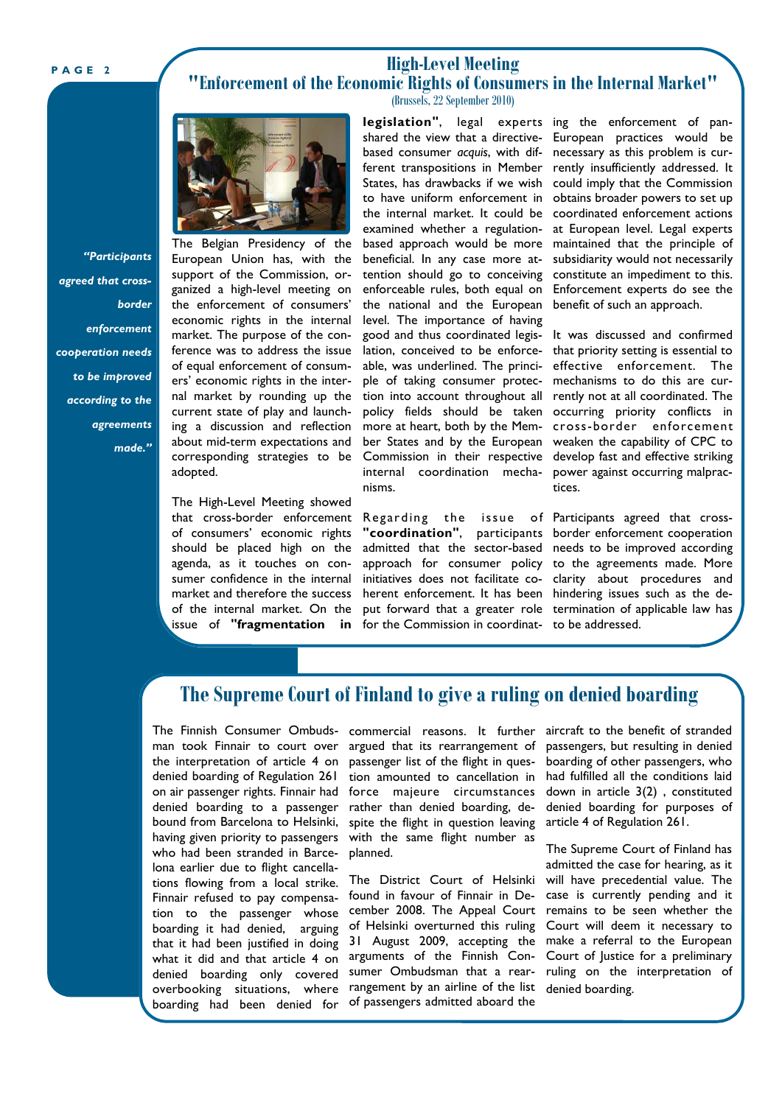### **High-Level Meeting "Enforcement of the Economic Rights of Consumers in the Internal Market"**  (Brussels, 22 September 2010)



*"Participants agreed that crossborder enforcement cooperation needs to be improved according to the agreements made."* 

The Belgian Presidency of the European Union has, with the support of the Commission, organized a high-level meeting on the enforcement of consumers' economic rights in the internal market. The purpose of the conference was to address the issue of equal enforcement of consumers' economic rights in the internal market by rounding up the current state of play and launching a discussion and reflection about mid-term expectations and corresponding strategies to be adopted.

The High-Level Meeting showed that cross-border enforcement of consumers' economic rights should be placed high on the agenda, as it touches on consumer confidence in the internal market and therefore the success of the internal market. On the issue of **"fragmentation in** 

**legislation"**, legal experts ing the enforcement of panshared the view that a directivebased consumer *acquis*, with different transpositions in Member States, has drawbacks if we wish to have uniform enforcement in the internal market. It could be examined whether a regulationbased approach would be more beneficial. In any case more attention should go to conceiving enforceable rules, both equal on the national and the European level. The importance of having good and thus coordinated legislation, conceived to be enforceable, was underlined. The principle of taking consumer protection into account throughout all policy fields should be taken more at heart, both by the Member States and by the European Commission in their respective internal coordination mechanisms.

admitted that the sector-based initiatives does not facilitate coherent enforcement. It has been hindering issues such as the defor the Commission in coordinat-to be addressed.

European practices would be necessary as this problem is currently insufficiently addressed. It could imply that the Commission obtains broader powers to set up coordinated enforcement actions at European level. Legal experts maintained that the principle of subsidiarity would not necessarily constitute an impediment to this. Enforcement experts do see the benefit of such an approach.

It was discussed and confirmed that priority setting is essential to effective enforcement. The mechanisms to do this are currently not at all coordinated. The occurring priority conflicts in cross-border enforcement weaken the capability of CPC to develop fast and effective striking power against occurring malpractices.

Regarding the issue of Participants agreed that cross-"coordination", participants border enforcement cooperation approach for consumer policy to the agreements made. More put forward that a greater role termination of applicable law has needs to be improved according clarity about procedures and

# **The Supreme Court of Finland to give a ruling on denied boarding**

The Finnish Consumer Ombuds- commercial reasons. It further aircraft to the benefit of stranded man took Finnair to court over argued that its rearrangement of the interpretation of article 4 on passenger list of the flight in quesdenied boarding of Regulation 261 tion amounted to cancellation in on air passenger rights. Finnair had force majeure circumstances denied boarding to a passenger rather than denied boarding, debound from Barcelona to Helsinki, spite the flight in question leaving having given priority to passengers with the same flight number as overbooking situations, where rangement by an airline of the list boarding had been denied for of-passengers-admitted-aboard-the who had been stranded in Barcelona earlier due to flight cancellations flowing from a local strike. Finnair refused to pay compensation to the passenger whose boarding it had denied, arguing that it had been justified in doing what it did and that article 4 on denied boarding only covered

planned.

The District Court of Helsinki found in favour of Finnair in December 2008. The Appeal Court of Helsinki overturned this ruling 31 August 2009, accepting the arguments of the Finnish Consumer Ombudsman that a rear-

passengers, but resulting in denied boarding of other passengers, who had fulfilled all the conditions laid down in article 3(2) , constituted denied boarding for purposes of article 4 of Regulation 261.

The Supreme Court of Finland has admitted the case for hearing, as it will have precedential value. The case is currently pending and it remains to be seen whether the Court will deem it necessary to make a referral to the European Court of Justice for a preliminary ruling on the interpretation of denied boarding.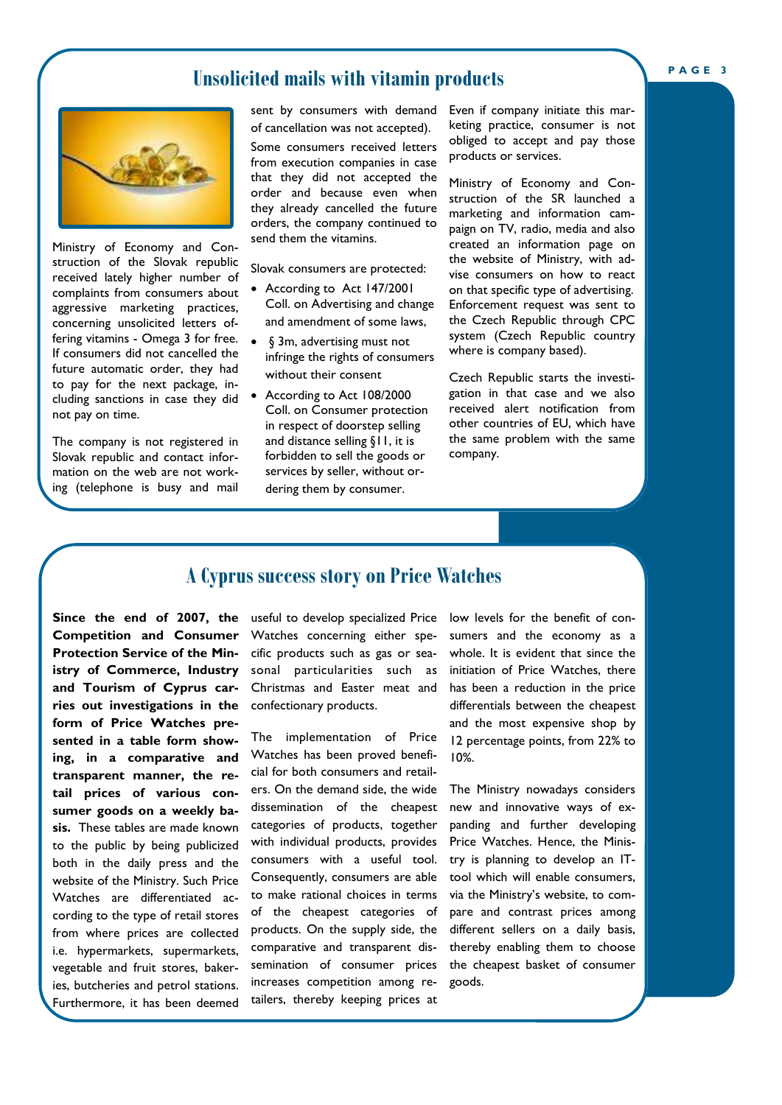## **Unsolicited mails with vitamin products**



Ministry of Economy and Construction of the Slovak republic received lately higher number of complaints from consumers about aggressive marketing practices, concerning unsolicited letters offering vitamins - Omega 3 for free. If consumers did not cancelled the future automatic order, they had to pay for the next package, including sanctions in case they did not pay on time.

The company is not registered in Slovak republic and contact information on the web are not working (telephone is busy and mail sent by consumers with demand of cancellation was not accepted).

Some consumers received letters from execution companies in case that they did not accepted the order and because even when they already cancelled the future orders, the company continued to send them the vitamins.

Slovak consumers are protected:

- According to Act 147/2001 Coll. on Advertising and change and amendment of some laws,
- § 3m, advertising must not infringe the rights of consumers without their consent
- According to Act 108/2000 Coll. on Consumer protection in respect of doorstep selling and distance selling §11, it is forbidden to sell the goods or services by seller, without ordering them by consumer.

Even if company initiate this marketing practice, consumer is not obliged to accept and pay those products or services.

Ministry of Economy and Construction of the SR launched a marketing and information campaign on TV, radio, media and also created an information page on the website of Ministry, with advise consumers on how to react on that specific type of advertising. Enforcement request was sent to the Czech Republic through CPC system (Czech Republic country where is company based).

Czech Republic starts the investigation in that case and we also received alert notification from other countries of EU, which have the same problem with the same company.

## **A Cyprus success story on Price Watches**

**Since the end of 2007, the Competition and Consumer Protection Service of the Ministry of Commerce, Industry and Tourism of Cyprus carries out investigations in the form of Price Watches presented in a table form showing, in a comparative and transparent manner, the retail prices of various consumer goods on a weekly basis.** These tables are made known to the public by being publicized both in the daily press and the website of the Ministry. Such Price Watches are differentiated according to the type of retail stores from where prices are collected i.e. hypermarkets, supermarkets, vegetable and fruit stores, bakeries, butcheries and petrol stations. Furthermore, it has been deemed

useful to develop specialized Price Watches concerning either specific products such as gas or seasonal particularities such as Christmas and Easter meat and confectionary products.

The implementation of Price Watches has been proved beneficial for both consumers and retailers. On the demand side, the wide dissemination of the cheapest categories of products, together with individual products, provides consumers with a useful tool. Consequently, consumers are able to make rational choices in terms of the cheapest categories of products. On the supply side, the comparative and transparent dissemination of consumer prices increases competition among retailers, thereby keeping prices at

low levels for the benefit of consumers and the economy as a whole. It is evident that since the initiation of Price Watches, there has been a reduction in the price differentials between the cheapest and the most expensive shop by 12 percentage points, from 22% to 10%.

The Ministry nowadays considers new and innovative ways of expanding and further developing Price Watches. Hence, the Ministry is planning to develop an ITtool which will enable consumers, via the Ministry's website, to compare and contrast prices among different sellers on a daily basis, thereby enabling them to choose the cheapest basket of consumer goods.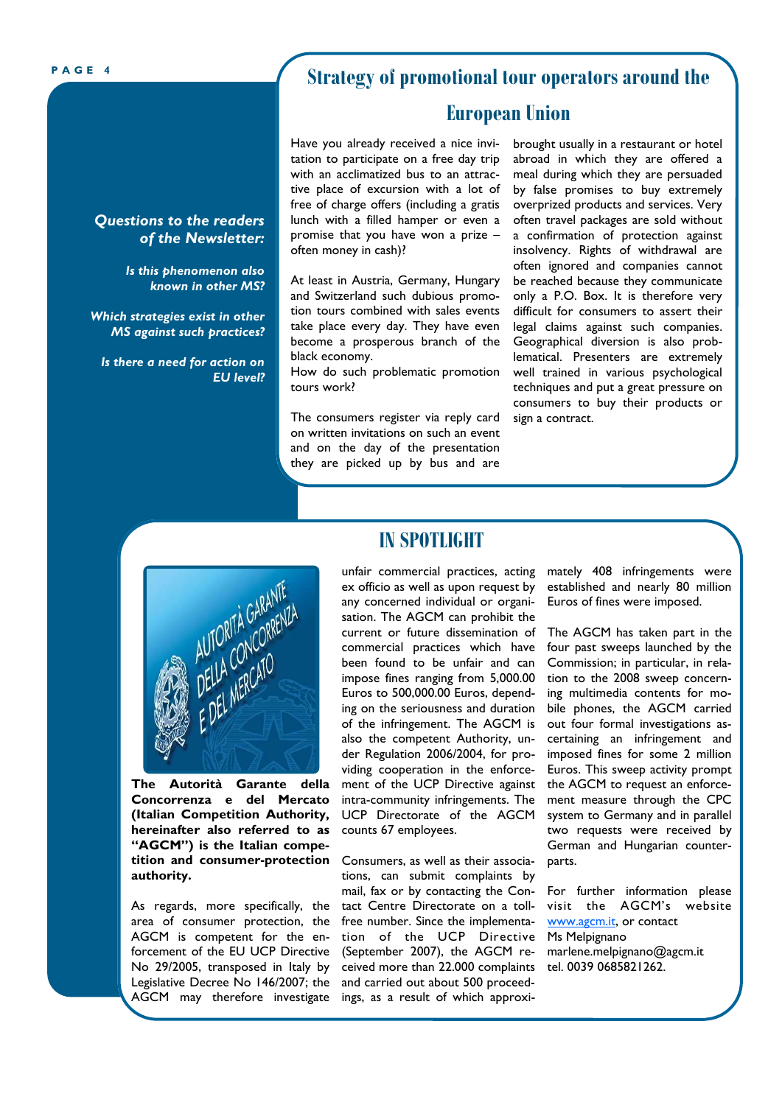*Questions to the readers* 

*Which strategies exist in other MS against such practices?* 

*Is there a need for action on* 

*EU level?* 

*of the Newsletter:* 

*Is this phenomenon also known in other MS?* 

# **PAGE 4 Strategy of promotional tour operators around the**

## **European Union**

Have you already received a nice invitation to participate on a free day trip with an acclimatized bus to an attractive place of excursion with a lot of free of charge offers (including a gratis lunch with a filled hamper or even a promise that you have won a prize – often money in cash)?

At least in Austria, Germany, Hungary and Switzerland such dubious promotion tours combined with sales events take place every day. They have even become a prosperous branch of the black economy.

How do such problematic promotion tours work?

The consumers register via reply card on written invitations on such an event and on the day of the presentation they are picked up by bus and are

brought usually in a restaurant or hotel abroad in which they are offered a meal during which they are persuaded by false promises to buy extremely overprized products and services. Very often travel packages are sold without a confirmation of protection against insolvency. Rights of withdrawal are often ignored and companies cannot be reached because they communicate only a P.O. Box. It is therefore very difficult for consumers to assert their legal claims against such companies. Geographical diversion is also problematical. Presenters are extremely well trained in various psychological techniques and put a great pressure on consumers to buy their products or sign a contract.



**The Autorità Garante della Concorrenza e del Mercato (Italian Competition Authority, hereinafter also referred to as "AGCM") is the Italian competition and consumer-protection authority.** 

As regards, more specifically, the area of consumer protection, the AGCM is competent for the enforcement of the EU UCP Directive No 29/2005, transposed in Italy by Legislative Decree No 146/2007; the AGCM may therefore investigate

## **IN SPOTLIGHT**

ex officio as well as upon request by any concerned individual or organisation. The AGCM can prohibit the current or future dissemination of commercial practices which have been found to be unfair and can impose fines ranging from 5,000.00 Euros to 500,000.00 Euros, depending on the seriousness and duration of the infringement. The AGCM is also the competent Authority, under Regulation 2006/2004, for providing cooperation in the enforcement of the UCP Directive against intra-community infringements. The UCP Directorate of the AGCM counts 67 employees.

Consumers, as well as their associations, can submit complaints by mail, fax or by contacting the Contact Centre Directorate on a tollfree number. Since the implementation of the UCP Directive (September 2007), the AGCM received more than 22.000 complaints tel. 0039 0685821262. and carried out about 500 proceedings, as a result of which approxi-

unfair commercial practices, acting mately 408 infringements were established and nearly 80 million Euros of fines were imposed.

> The AGCM has taken part in the four past sweeps launched by the Commission; in particular, in relation to the 2008 sweep concerning multimedia contents for mobile phones, the AGCM carried out four formal investigations ascertaining an infringement and imposed fines for some 2 million Euros. This sweep activity prompt the AGCM to request an enforcement measure through the CPC system to Germany and in parallel two requests were received by German and Hungarian counterparts.

> For further information please visit the AGCM's website www.agcm.it, or contact Ms Melpignano marlene.melpignano@agcm.it